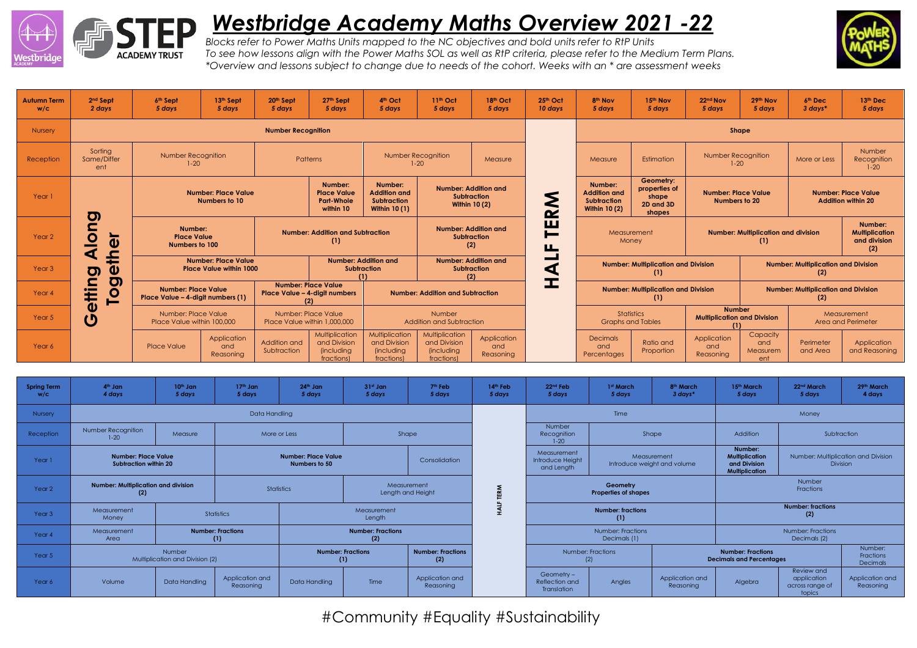

## *Westbridge Academy Maths Overview 2021 -22*



*Blocks refer to Power Maths Units mapped to the NC objectives and bold units refer to RtP Units To see how lessons align with the Power Maths SOL as well as RtP criteria, please refer to the Medium Term Plans. \*Overview and lessons subject to change due to needs of the cohort. Weeks with an \* are assessment weeks*

| <b>Autumn Term</b><br>W/C | 2 <sup>nd</sup> Sept<br>2 days                                                                     | 6th Sept<br>5 days                                      | 13th Sept<br>5 days                                                                        | 20th Sept<br>5 days                                         | 27th Sept<br>5 days                                               | 4 <sup>th</sup> Oct<br>5 days                                                | 11 <sup>th</sup> Oct<br>5 days                                    | 18th Oct<br>5 days                                                        | 25th Oct<br>10 days                               | 8 <sup>th</sup> Nov<br>5 days                                                | 15th Nov<br>5 days                                         | 22nd Nov<br>5 days                                | 29th Nov<br>5 days                                  | 6 <sup>th</sup> Dec<br>3 days*                          | 13th Dec<br>5 days                |
|---------------------------|----------------------------------------------------------------------------------------------------|---------------------------------------------------------|--------------------------------------------------------------------------------------------|-------------------------------------------------------------|-------------------------------------------------------------------|------------------------------------------------------------------------------|-------------------------------------------------------------------|---------------------------------------------------------------------------|---------------------------------------------------|------------------------------------------------------------------------------|------------------------------------------------------------|---------------------------------------------------|-----------------------------------------------------|---------------------------------------------------------|-----------------------------------|
| <b>Nursery</b>            | <b>Number Recognition</b>                                                                          |                                                         |                                                                                            |                                                             |                                                                   |                                                                              |                                                                   |                                                                           |                                                   | Shape                                                                        |                                                            |                                                   |                                                     |                                                         |                                   |
| Reception                 | Sorting<br>Same/Differ<br>ent                                                                      | Number Recognition<br>$1 - 20$                          |                                                                                            |                                                             | Patterns                                                          |                                                                              | Number Recognition<br>$1 - 20$                                    | Measure                                                                   |                                                   | Measure                                                                      | Estimation                                                 | <b>Number Recognition</b><br>$1 - 20$             |                                                     | More or Less                                            | Number<br>Recognition<br>$1 - 20$ |
| Year 1                    |                                                                                                    | <b>Number: Place Value</b><br>Numbers to 10<br><u>ත</u> |                                                                                            |                                                             | Number:<br><b>Place Value</b><br><b>Part-Whole</b><br>within 10   | Number:<br><b>Addition and</b><br><b>Subtraction</b><br><b>Within 10 (1)</b> |                                                                   | <b>Number: Addition and</b><br><b>Subtraction</b><br><b>Within 10 (2)</b> | $\sim$                                            | Number:<br><b>Addition and</b><br><b>Subtraction</b><br><b>Within 10 (2)</b> | Geometry:<br>properties of<br>shape<br>2D and 3D<br>shapes | <b>Number: Place Value</b><br>Numbers to 20       |                                                     | <b>Number: Place Value</b><br><b>Addition within 20</b> |                                   |
| Year <sub>2</sub>         | $\overline{\mathbf{5}}$<br>-<br>$\overline{\mathbf{v}}$<br>-<br>₫                                  |                                                         | Number:<br><b>Number: Addition and Subtraction</b><br><b>Place Value</b><br>Numbers to 100 |                                                             |                                                                   |                                                                              | <b>Number: Addition and</b><br><b>Subtraction</b><br>(2)          |                                                                           | ш<br>⊨<br><b>TA</b>                               | Measurement<br>Money                                                         |                                                            | <b>Number: Multiplication and division</b><br>(1) |                                                     | Number:<br><b>Multiplication</b><br>and division<br>(2) |                                   |
| Year <sub>3</sub>         | 오<br><b>Place Value within 1000</b><br>ω<br>ರಾ                                                     |                                                         | <b>Number: Place Value</b>                                                                 |                                                             | <b>Number: Addition and</b><br><b>Subtraction</b>                 |                                                                              | <b>Number: Addition and</b><br><b>Subtraction</b><br>(2)          |                                                                           |                                                   | <b>Number: Multiplication and Division</b><br>(1)                            |                                                            |                                                   | <b>Number: Multiplication and Division</b><br>(2)   |                                                         |                                   |
| Year <sub>4</sub>         | <b>O</b><br>с<br><b>Number: Place Value</b><br>₽<br><u>io</u><br>Place Value - 4-digit numbers (1) |                                                         |                                                                                            | <b>Number: Place Value</b><br>Place Value - 4-digit numbers |                                                                   |                                                                              | <b>Number: Addition and Subtraction</b>                           |                                                                           | <b>Number: Multiplication and Division</b><br>(1) |                                                                              |                                                            | <b>Number: Multiplication and Division</b><br>(2) |                                                     |                                                         |                                   |
| Year 5                    | O<br>$\boldsymbol{\mathsf{O}}$                                                                     | Number: Place Value<br>Place Value within 100,000       |                                                                                            | Number: Place Value<br>Place Value within 1,000,000         |                                                                   | Number<br>Addition and Subtraction                                           |                                                                   |                                                                           |                                                   | <b>Statistics</b><br><b>Graphs and Tables</b>                                |                                                            |                                                   | <b>Number</b><br><b>Multiplication and Division</b> |                                                         | Measurement<br>Area and Perimeter |
| Year 6                    |                                                                                                    | <b>Place Value</b>                                      | Application<br>and<br>Reasoning                                                            | Addition and<br>Subtraction                                 | Multiplication<br>and Division<br><i>(including)</i><br>fractions | Multiplication<br>and Division<br><i>(including</i><br>fractions)            | Multiplication<br>and Division<br><i>(including</i><br>fractions) | Application<br>and<br>Reasoning                                           |                                                   | <b>Decimals</b><br>and<br>Percentages                                        | Ratio and<br>Proportion                                    | Application<br>and<br>Reasoning                   | Capacity<br>and<br>Measurem<br>ent                  | Perimeter<br>and Area                                   | Application<br>and Reasoning      |

| <b>Spring Term</b><br>W/C | 4 <sup>th</sup> Jan<br>4 days                          | $10th$ Jan<br>5 days | $17th$ Jan<br>5 days         | $24th$ Jan<br>5 days                                  | $31st$ Jan<br>5 days            | 7 <sup>th</sup> Feb<br>5 days   | 14 <sup>th</sup> Feb<br>5 days                                                                   | 22 <sup>nd</sup> Feb<br>5 days                | 1st March<br>5 days                                    | 8 <sup>th</sup> March<br>3 days*                            | 15 <sup>th</sup> March<br>5 days                                          | 22 <sup>nd</sup> March<br>5 days                | 29th March<br>4 days |  |
|---------------------------|--------------------------------------------------------|----------------------|------------------------------|-------------------------------------------------------|---------------------------------|---------------------------------|--------------------------------------------------------------------------------------------------|-----------------------------------------------|--------------------------------------------------------|-------------------------------------------------------------|---------------------------------------------------------------------------|-------------------------------------------------|----------------------|--|
| Nursery                   | Data Handling                                          |                      |                              |                                                       |                                 |                                 |                                                                                                  |                                               | Time                                                   |                                                             | Money                                                                     |                                                 |                      |  |
| Reception                 | Number Recognition<br>Measure<br>$1 - 20$              |                      |                              | Shape<br>More or Less                                 |                                 |                                 |                                                                                                  | Number<br>Recognition<br>$1 - 20$             | Shape                                                  |                                                             | Addition                                                                  | Subtraction                                     |                      |  |
| Year 1                    | <b>Number: Place Value</b><br>Subtraction within 20    |                      |                              | <b>Number: Place Value</b><br>Numbers to 50           | Consolidation                   |                                 |                                                                                                  | Measurement<br>Introduce Height<br>and Length | Measurement<br>Introduce weight and volume             |                                                             | Number:<br><b>Multiplication</b><br>and Division<br><b>Multiplication</b> | Number: Multiplication and Division<br>Division |                      |  |
| Year <sub>2</sub>         | Number: Multiplication and division<br>(2)             |                      |                              | Measurement<br><b>Statistics</b><br>Length and Height |                                 |                                 | ERM                                                                                              |                                               | Geometry<br>Properties of shapes                       |                                                             | Number<br>Fractions                                                       |                                                 |                      |  |
| Year 3                    | Measurement<br>Statistics<br>Money                     |                      | Measurement<br>Length        |                                                       |                                 |                                 |                                                                                                  | <b>Number: fractions</b><br>(1)               |                                                        | <b>Number: fractions</b><br>(2)                             |                                                                           |                                                 |                      |  |
| Year 4                    | <b>Number: Fractions</b><br>Measurement<br>(1)<br>Area |                      |                              | <b>Number: Fractions</b><br>(2)                       |                                 |                                 |                                                                                                  | Number: Fractions<br>Decimals (1)             |                                                        |                                                             | Number: Fractions<br>Decimals (2)                                         |                                                 |                      |  |
| Year 5                    | Number<br>Multiplication and Division (2)              |                      |                              |                                                       | <b>Number: Fractions</b><br>(1) | <b>Number: Fractions</b><br>(2) |                                                                                                  | Number: Fractions<br>(2)                      |                                                        | <b>Number: Fractions</b><br><b>Decimals and Percentages</b> |                                                                           | Number:<br>Fractions<br>Decimals                |                      |  |
| Year 6                    | Volume                                                 | Data Handling        | Application and<br>Reasoning | Data Handling                                         | Time                            | Application and<br>Reasoning    | Geometry -<br>Application and<br>Algebra<br>Reflection and<br>Angles<br>Reasoning<br>Translation |                                               | Review and<br>application<br>across range of<br>topics | Application and<br>Reasoning                                |                                                                           |                                                 |                      |  |

#Community #Equality #Sustainability